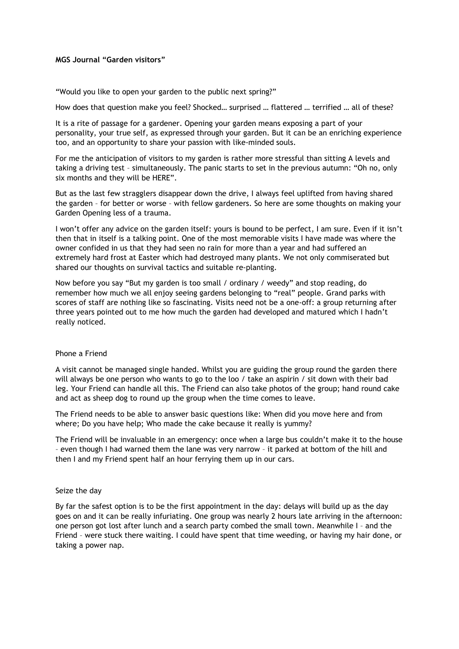# **MGS Journal "Garden visitors"**

"Would you like to open your garden to the public next spring?"

How does that question make you feel? Shocked… surprised … flattered … terrified … all of these?

It is a rite of passage for a gardener. Opening your garden means exposing a part of your personality, your true self, as expressed through your garden. But it can be an enriching experience too, and an opportunity to share your passion with like-minded souls.

For me the anticipation of visitors to my garden is rather more stressful than sitting A levels and taking a driving test – simultaneously. The panic starts to set in the previous autumn: "Oh no, only six months and they will be HERE".

But as the last few stragglers disappear down the drive, I always feel uplifted from having shared the garden – for better or worse – with fellow gardeners. So here are some thoughts on making your Garden Opening less of a trauma.

I won't offer any advice on the garden itself: yours is bound to be perfect, I am sure. Even if it isn't then that in itself is a talking point. One of the most memorable visits I have made was where the owner confided in us that they had seen no rain for more than a year and had suffered an extremely hard frost at Easter which had destroyed many plants. We not only commiserated but shared our thoughts on survival tactics and suitable re-planting.

Now before you say "But my garden is too small / ordinary / weedy" and stop reading, do remember how much we all enjoy seeing gardens belonging to "real" people. Grand parks with scores of staff are nothing like so fascinating. Visits need not be a one-off: a group returning after three years pointed out to me how much the garden had developed and matured which I hadn't really noticed.

## Phone a Friend

A visit cannot be managed single handed. Whilst you are guiding the group round the garden there will always be one person who wants to go to the loo / take an aspirin / sit down with their bad leg. Your Friend can handle all this. The Friend can also take photos of the group; hand round cake and act as sheep dog to round up the group when the time comes to leave.

The Friend needs to be able to answer basic questions like: When did you move here and from where; Do you have help; Who made the cake because it really is yummy?

The Friend will be invaluable in an emergency: once when a large bus couldn't make it to the house – even though I had warned them the lane was very narrow – it parked at bottom of the hill and then I and my Friend spent half an hour ferrying them up in our cars.

## Seize the day

By far the safest option is to be the first appointment in the day: delays will build up as the day goes on and it can be really infuriating. One group was nearly 2 hours late arriving in the afternoon: one person got lost after lunch and a search party combed the small town. Meanwhile I – and the Friend – were stuck there waiting. I could have spent that time weeding, or having my hair done, or taking a power nap.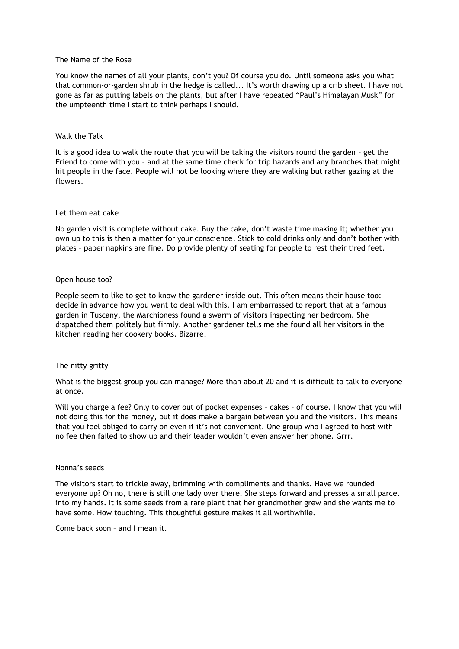## The Name of the Rose

You know the names of all your plants, don't you? Of course you do. Until someone asks you what that common-or-garden shrub in the hedge is called... It's worth drawing up a crib sheet. I have not gone as far as putting labels on the plants, but after I have repeated "Paul's Himalayan Musk" for the umpteenth time I start to think perhaps I should.

### Walk the Talk

It is a good idea to walk the route that you will be taking the visitors round the garden – get the Friend to come with you – and at the same time check for trip hazards and any branches that might hit people in the face. People will not be looking where they are walking but rather gazing at the flowers.

#### Let them eat cake

No garden visit is complete without cake. Buy the cake, don't waste time making it; whether you own up to this is then a matter for your conscience. Stick to cold drinks only and don't bother with plates – paper napkins are fine. Do provide plenty of seating for people to rest their tired feet.

### Open house too?

People seem to like to get to know the gardener inside out. This often means their house too: decide in advance how you want to deal with this. I am embarrassed to report that at a famous garden in Tuscany, the Marchioness found a swarm of visitors inspecting her bedroom. She dispatched them politely but firmly. Another gardener tells me she found all her visitors in the kitchen reading her cookery books. Bizarre.

## The nitty gritty

What is the biggest group you can manage? More than about 20 and it is difficult to talk to everyone at once.

Will you charge a fee? Only to cover out of pocket expenses - cakes - of course. I know that you will not doing this for the money, but it does make a bargain between you and the visitors. This means that you feel obliged to carry on even if it's not convenient. One group who I agreed to host with no fee then failed to show up and their leader wouldn't even answer her phone. Grrr.

## Nonna's seeds

The visitors start to trickle away, brimming with compliments and thanks. Have we rounded everyone up? Oh no, there is still one lady over there. She steps forward and presses a small parcel into my hands. It is some seeds from a rare plant that her grandmother grew and she wants me to have some. How touching. This thoughtful gesture makes it all worthwhile.

Come back soon – and I mean it.